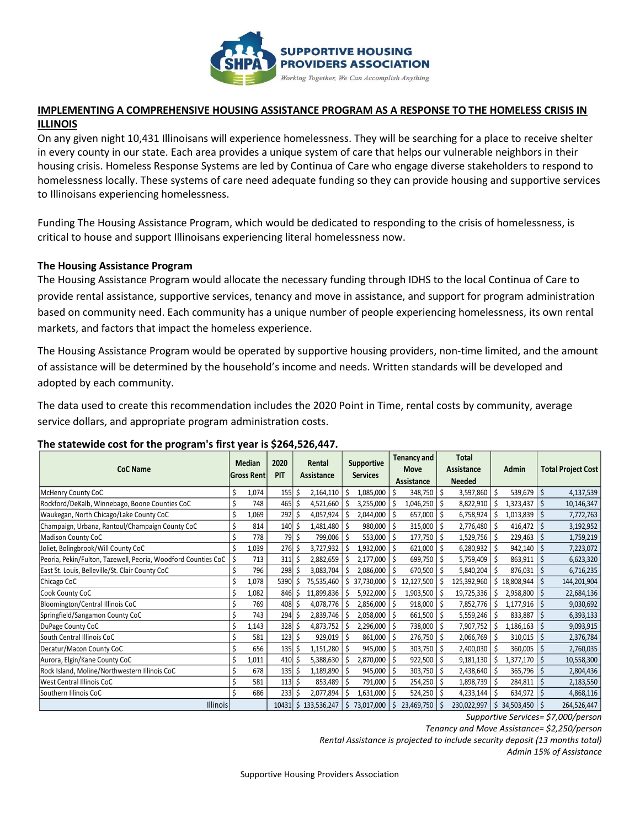

### **IMPLEMENTING A COMPREHENSIVE HOUSING ASSISTANCE PROGRAM AS A RESPONSE TO THE HOMELESS CRISIS IN ILLINOIS**

On any given night 10,431 Illinoisans will experience homelessness. They will be searching for a place to receive shelter in every county in our state. Each area provides a unique system of care that helps our vulnerable neighbors in their housing crisis. Homeless Response Systems are led by Continua of Care who engage diverse stakeholders to respond to homelessness locally. These systems of care need adequate funding so they can provide housing and supportive services to Illinoisans experiencing homelessness.

Funding The Housing Assistance Program, which would be dedicated to responding to the crisis of homelessness, is critical to house and support Illinoisans experiencing literal homelessness now.

#### **The Housing Assistance Program**

The Housing Assistance Program would allocate the necessary funding through IDHS to the local Continua of Care to provide rental assistance, supportive services, tenancy and move in assistance, and support for program administration based on community need. Each community has a unique number of people experiencing homelessness, its own rental markets, and factors that impact the homeless experience.

The Housing Assistance Program would be operated by supportive housing providers, non-time limited, and the amount of assistance will be determined by the household's income and needs. Written standards will be developed and adopted by each community.

The data used to create this recommendation includes the 2020 Point in Time, rental costs by community, average service dollars, and appropriate program administration costs.

| <b>CoC Name</b>                                               |   | Median<br><b>Gross Rent</b> | 2020<br><b>PIT</b> |    | Rental<br>Assistance |    | <b>Supportive</b><br><b>Services</b> |     | Tenancy and<br><b>Move</b><br><b>Assistance</b> |    | Total<br>Assistance<br><b>Needed</b> |     | Admin      |    | <b>Total Project Cost</b> |
|---------------------------------------------------------------|---|-----------------------------|--------------------|----|----------------------|----|--------------------------------------|-----|-------------------------------------------------|----|--------------------------------------|-----|------------|----|---------------------------|
| McHenry County CoC                                            |   | 1,074                       | $155$ \$           |    | 2,164,110            | Ŝ  | 1,085,000                            | \$  | 348,750                                         | \$ | 3,597,860                            | \$  | 539,679    | \$ | 4,137,539                 |
| Rockford/DeKalb, Winnebago, Boone Counties CoC                |   | 748                         | 465                | S. | 4,521,660            |    | 3,255,000                            | \$  | 1,046,250                                       | Ś  | 8,822,910                            | Ŝ   | 1,323,437  | Ś  | 10,146,347                |
| Waukegan, North Chicago/Lake County CoC                       |   | 1,069                       | $292 \mid 5$       |    | 4,057,924            |    | 2,044,000                            | S.  | 657,000                                         |    | 6,758,924                            |     | 1,013,839  |    | 7,772,763                 |
| Champaign, Urbana, Rantoul/Champaign County CoC               |   | 814                         | $140 \mid 5$       |    | 1,481,480            |    | 980,000                              | S   | 315,000                                         |    | 2,776,480                            |     | 416,472    | Ś  | 3,192,952                 |
| <b>Madison County CoC</b>                                     |   | 778                         | $79 \mid \xi$      |    | 799,006              |    | 553,000                              | S.  | 177,750                                         |    | 1,529,756                            | -S  | 229,463    | \$ | 1,759,219                 |
| Joliet, Bolingbrook/Will County CoC                           |   | 1,039                       | 276S               |    | 3,727,932            |    | 1,932,000                            | \$  | 621,000                                         |    | 6,280,932                            | \$. | 942,140    | \$ | 7,223,072                 |
| Peoria, Pekin/Fulton, Tazewell, Peoria, Woodford Counties CoC | Ś | 713                         | $311 \frac{1}{2}$  |    | 2,882,659            |    | 2,177,000                            | \$, | 699,750                                         |    | 5,759,409                            | S   | 863,911    |    | 6,623,320                 |
| East St. Louis, Belleville/St. Clair County CoC               |   | 796                         | 298 \$             |    | 3,083,704            |    | 2,086,000                            |     | 670,500                                         |    | 5,840,204                            |     | 876,031    |    | 6,716,235                 |
| Chicago CoC                                                   |   | 1,078                       | 5390               | -S | 75,535,460           |    | 37,730,000                           | Ŝ.  | 12,127,500                                      |    | 125,392,960                          | S   | 18,808,944 |    | 144,201,904               |
| Cook County CoC                                               |   | 1,082                       | 846                | S  | 11,899,836           |    | 5,922,000                            | S   | 1,903,500                                       |    | 19,725,336                           |     | 2,958,800  | \$ | 22,684,136                |
| Bloomington/Central Illinois CoC                              |   | 769                         | $408 \,$ \$        |    | 4,078,776            |    | 2,856,000                            | \$  | 918,000                                         | \$ | 7,852,776                            | Ŝ   | 1,177,916  | \$ | 9,030,692                 |
| Springfield/Sangamon County CoC                               |   | 743                         | $294$ \$           |    | 2,839,746            |    | 2,058,000                            | S.  | 661,500                                         |    | 5,559,246                            | S   | 833,887    |    | 6,393,133                 |
| DuPage County CoC                                             |   | 1,143                       | 328S               |    | 4,873,752            |    | 2,296,000                            | -S  | 738,000                                         |    | 7,907,752                            |     | 1,186,163  |    | 9,093,915                 |
| South Central Illinois CoC                                    |   | 581                         | $123 \mid 5$       |    | 929,019              |    | 861,000                              | S   | 276,750                                         |    | 2,066,769                            | -S  | 310,015    | S  | 2,376,784                 |
| Decatur/Macon County CoC                                      |   | 656                         | $135 \frac{1}{5}$  |    | 1,151,280            |    | 945,000                              | \$  | 303,750                                         |    | 2,400,030                            | Ŝ   | 360,005    | Ŝ  | 2,760,035                 |
| Aurora, Elgin/Kane County CoC                                 |   | 1,011                       | $410 \mid 5$       |    | 5,388,630            |    | 2,870,000                            | \$  | 922,500                                         |    | 9,181,130                            | S   | 1,377,170  |    | 10,558,300                |
| Rock Island, Moline/Northwestern Illinois CoC                 |   | 678                         | $135$ \$           |    | 1,189,890            |    | 945,000                              | \$  | 303,750                                         |    | 2,438,640                            | S   | 365,796    |    | 2,804,436                 |
| <b>West Central Illinois CoC</b>                              |   | 581                         | $113 \mid 5$       |    | 853,489              |    | 791,000                              | S   | 254,250                                         |    | 1,898,739                            |     | 284,811    |    | 2,183,550                 |
| Southern Illinois CoC                                         |   | 686                         | 233                | S  | 2,077,894            |    | 1,631,000                            | S   | 524,250                                         |    | 4,233,144                            |     | 634,972    |    | 4,868,116                 |
| <b>Illinois</b>                                               |   |                             | $10431$ \$         |    | 133,536,247          | Ś. | 73,017,000                           | Ŝ   | 23,469,750                                      |    | 230,022,997                          | Ś.  | 34,503,450 |    | 264,526,447               |

### **The statewide cost for the program's first year is \$264,526,447.**

*Supportive Services= \$7,000/person*

*Tenancy and Move Assistance= \$2,250/person*

*Rental Assistance is projected to include security deposit (13 months total)*

*Admin 15% of Assistance*